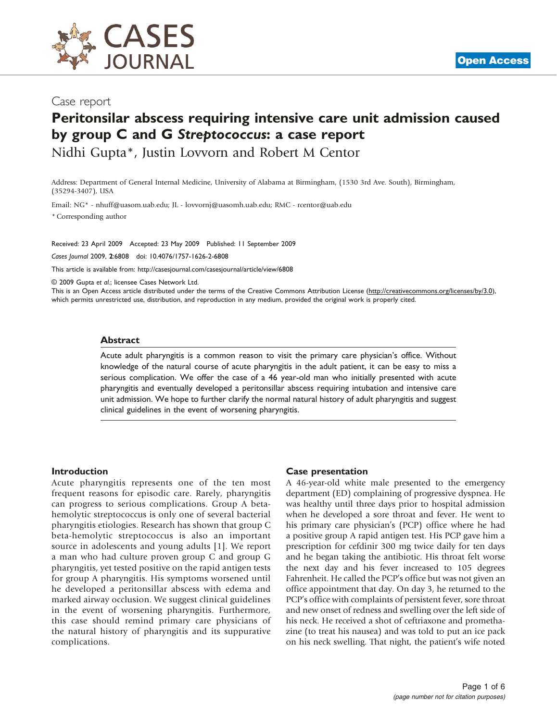

## Case report

# Peritonsilar abscess requiring intensive care unit admission caused by group C and G Streptococcus: a case report

Nidhi Gupta\*, Justin Lovvorn and Robert M Centor

Address: Department of General Internal Medicine, University of Alabama at Birmingham, (1530 3rd Ave. South), Birmingham, (35294-3407), USA

Email: NG\* - [nhuff@uasom.uab.edu;](mailto:nhuff@uasom.uab.edu) JL - [lovvornj@uasomh.uab.edu;](mailto:lovvornj@uasomh.uab.edu) RMC - [rcentor@uab.edu](mailto:rcentor@uab.edu)

\* Corresponding author

Received: 23 April 2009 Accepted: 23 May 2009 Published: 11 September 2009

Cases Journal 2009, 2:6808 doi: 10.4076/1757-1626-2-6808

This article is available from:<http://casesjournal.com/casesjournal/article/view/6808>

© 2009 Gupta et al.; licensee Cases Network Ltd.

This is an Open Access article distributed under the terms of the Creative Commons Attribution License [\(http://creativecommons.org/licenses/by/3.0\)](http://creativecommons.org/licenses/by/3.0), which permits unrestricted use, distribution, and reproduction in any medium, provided the original work is properly cited.

#### Abstract

Acute adult pharyngitis is a common reason to visit the primary care physician's office. Without knowledge of the natural course of acute pharyngitis in the adult patient, it can be easy to miss a serious complication. We offer the case of a 46 year-old man who initially presented with acute pharyngitis and eventually developed a peritonsillar abscess requiring intubation and intensive care unit admission. We hope to further clarify the normal natural history of adult pharyngitis and suggest clinical guidelines in the event of worsening pharyngitis.

#### Introduction

Acute pharyngitis represents one of the ten most frequent reasons for episodic care. Rarely, pharyngitis can progress to serious complications. Group A betahemolytic streptococcus is only one of several bacterial pharyngitis etiologies. Research has shown that group C beta-hemolytic streptococcus is also an important source in adolescents and young adults [[1](#page-4-0)]. We report a man who had culture proven group C and group G pharyngitis, yet tested positive on the rapid antigen tests for group A pharyngitis. His symptoms worsened until he developed a peritonsillar abscess with edema and marked airway occlusion. We suggest clinical guidelines in the event of worsening pharyngitis. Furthermore, this case should remind primary care physicians of the natural history of pharyngitis and its suppurative complications.

#### Case presentation

A 46-year-old white male presented to the emergency department (ED) complaining of progressive dyspnea. He was healthy until three days prior to hospital admission when he developed a sore throat and fever. He went to his primary care physician's (PCP) office where he had a positive group A rapid antigen test. His PCP gave him a prescription for cefdinir 300 mg twice daily for ten days and he began taking the antibiotic. His throat felt worse the next day and his fever increased to 105 degrees Fahrenheit. He called the PCP's office but was not given an office appointment that day. On day 3, he returned to the PCP's office with complaints of persistent fever, sore throat and new onset of redness and swelling over the left side of his neck. He received a shot of ceftriaxone and promethazine (to treat his nausea) and was told to put an ice pack on his neck swelling. That night, the patient's wife noted

**[Open Access](http://casesjournal.com/casesjournal/pages/view/faq)**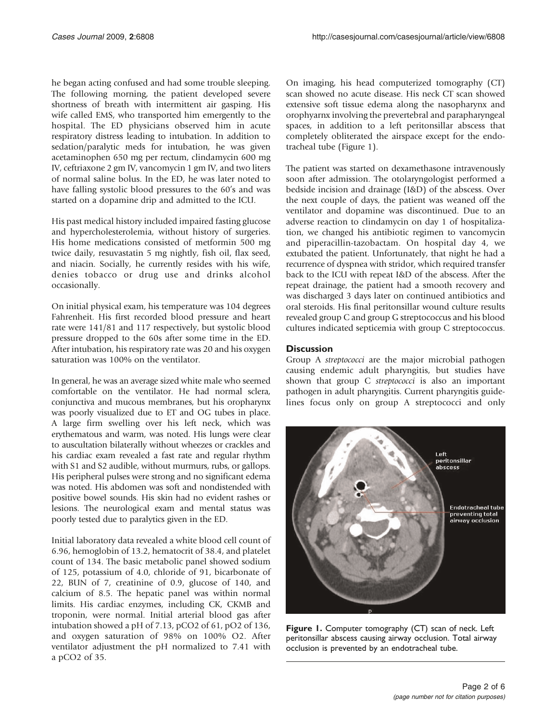<span id="page-1-0"></span>he began acting confused and had some trouble sleeping. The following morning, the patient developed severe shortness of breath with intermittent air gasping. His wife called EMS, who transported him emergently to the hospital. The ED physicians observed him in acute respiratory distress leading to intubation. In addition to sedation/paralytic meds for intubation, he was given acetaminophen 650 mg per rectum, clindamycin 600 mg IV, ceftriaxone 2 gm IV, vancomycin 1 gm IV, and two liters of normal saline bolus. In the ED, he was later noted to have falling systolic blood pressures to the 60's and was started on a dopamine drip and admitted to the ICU.

His past medical history included impaired fasting glucose and hypercholesterolemia, without history of surgeries. His home medications consisted of metformin 500 mg twice daily, resuvastatin 5 mg nightly, fish oil, flax seed, and niacin. Socially, he currently resides with his wife, denies tobacco or drug use and drinks alcohol occasionally.

On initial physical exam, his temperature was 104 degrees Fahrenheit. His first recorded blood pressure and heart rate were 141/81 and 117 respectively, but systolic blood pressure dropped to the 60s after some time in the ED. After intubation, his respiratory rate was 20 and his oxygen saturation was 100% on the ventilator.

In general, he was an average sized white male who seemed comfortable on the ventilator. He had normal sclera, conjunctiva and mucous membranes, but his oropharynx was poorly visualized due to ET and OG tubes in place. A large firm swelling over his left neck, which was erythematous and warm, was noted. His lungs were clear to auscultation bilaterally without wheezes or crackles and his cardiac exam revealed a fast rate and regular rhythm with S1 and S2 audible, without murmurs, rubs, or gallops. His peripheral pulses were strong and no significant edema was noted. His abdomen was soft and nondistended with positive bowel sounds. His skin had no evident rashes or lesions. The neurological exam and mental status was poorly tested due to paralytics given in the ED.

Initial laboratory data revealed a white blood cell count of 6.96, hemoglobin of 13.2, hematocrit of 38.4, and platelet count of 134. The basic metabolic panel showed sodium of 125, potassium of 4.0, chloride of 91, bicarbonate of 22, BUN of 7, creatinine of 0.9, glucose of 140, and calcium of 8.5. The hepatic panel was within normal limits. His cardiac enzymes, including CK, CKMB and troponin, were normal. Initial arterial blood gas after intubation showed a pH of 7.13, pCO2 of 61, pO2 of 136, and oxygen saturation of 98% on 100% O2. After ventilator adjustment the pH normalized to 7.41 with a pCO2 of 35.

On imaging, his head computerized tomography (CT) scan showed no acute disease. His neck CT scan showed extensive soft tissue edema along the nasopharynx and orophyarnx involving the prevertebral and parapharyngeal spaces, in addition to a left peritonsillar abscess that completely obliterated the airspace except for the endotracheal tube (Figure 1).

The patient was started on dexamethasone intravenously soon after admission. The otolaryngologist performed a bedside incision and drainage (I&D) of the abscess. Over the next couple of days, the patient was weaned off the ventilator and dopamine was discontinued. Due to an adverse reaction to clindamycin on day 1 of hospitalization, we changed his antibiotic regimen to vancomycin and piperacillin-tazobactam. On hospital day 4, we extubated the patient. Unfortunately, that night he had a recurrence of dyspnea with stridor, which required transfer back to the ICU with repeat I&D of the abscess. After the repeat drainage, the patient had a smooth recovery and was discharged 3 days later on continued antibiotics and oral steroids. His final peritonsillar wound culture results revealed group C and group G streptococcus and his blood cultures indicated septicemia with group C streptococcus.

### **Discussion**

Group A streptococci are the major microbial pathogen causing endemic adult pharyngitis, but studies have shown that group C streptococci is also an important pathogen in adult pharyngitis. Current pharyngitis guidelines focus only on group A streptococci and only



Figure 1. Computer tomography (CT) scan of neck. Left peritonsillar abscess causing airway occlusion. Total airway occlusion is prevented by an endotracheal tube.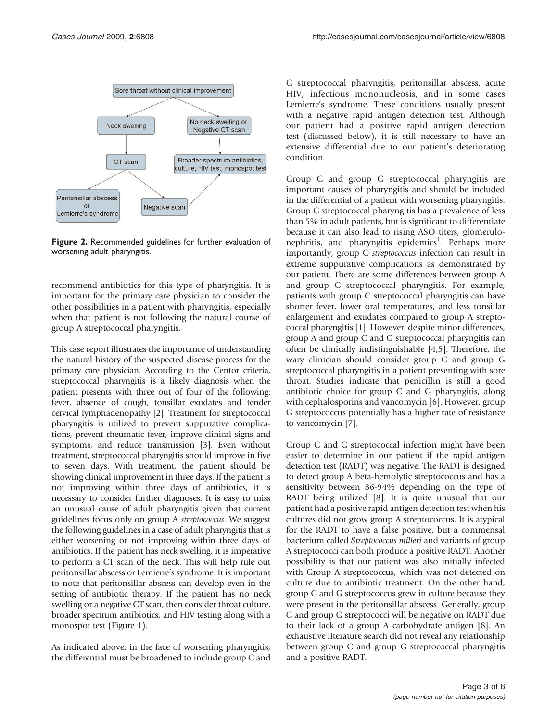

Figure 2. Recommended guidelines for further evaluation of worsening adult pharyngitis.

recommend antibiotics for this type of pharyngitis. It is important for the primary care physician to consider the other possibilities in a patient with pharyngitis, especially when that patient is not following the natural course of group A streptococcal pharyngitis.

This case report illustrates the importance of understanding the natural history of the suspected disease process for the primary care physician. According to the Centor criteria, streptococcal pharyngitis is a likely diagnosis when the patient presents with three out of four of the following: fever, absence of cough, tonsillar exudates and tender cervical lymphadenopathy [[2\]](#page-5-0). Treatment for streptococcal pharyngitis is utilized to prevent suppurative complications, prevent rheumatic fever, improve clinical signs and symptoms, and reduce transmission [\[3](#page-5-0)]. Even without treatment, streptococcal pharyngitis should improve in five to seven days. With treatment, the patient should be showing clinical improvement in three days. If the patient is not improving within three days of antibiotics, it is necessary to consider further diagnoses. It is easy to miss an unusual cause of adult pharyngitis given that current guidelines focus only on group A streptococcus. We suggest the following guidelines in a case of adult pharyngitis that is either worsening or not improving within three days of antibiotics. If the patient has neck swelling, it is imperative to perform a CT scan of the neck. This will help rule out peritonsillar abscess or Lemierre's syndrome. It is important to note that peritonsillar abscess can develop even in the setting of antibiotic therapy. If the patient has no neck swelling or a negative CT scan, then consider throat culture, broader spectrum antibiotics, and HIV testing along with a monospot test ([Figure 1](#page-1-0)).

As indicated above, in the face of worsening pharyngitis, the differential must be broadened to include group C and G streptococcal pharyngitis, peritonsillar abscess, acute HIV, infectious mononucleosis, and in some cases Lemierre's syndrome. These conditions usually present with a negative rapid antigen detection test. Although our patient had a positive rapid antigen detection test (discussed below), it is still necessary to have an extensive differential due to our patient's deteriorating condition.

Group C and group G streptococcal pharyngitis are important causes of pharyngitis and should be included in the differential of a patient with worsening pharyngitis. Group C streptococcal pharyngitis has a prevalence of less than 5% in adult patients, but is significant to differentiate because it can also lead to rising ASO titers, glomerulonephritis, and pharyngitis epidemics<sup>1</sup>. Perhaps more importantly, group C streptococcus infection can result in extreme suppurative complications as demonstrated by our patient. There are some differences between group A and group C streptococcal pharyngitis. For example, patients with group C streptococcal pharyngitis can have shorter fever, lower oral temperatures, and less tonsillar enlargement and exudates compared to group A streptococcal pharyngitis [[1](#page-4-0)]. However, despite minor differences, group A and group C and G streptococcal pharyngitis can often be clinically indistinguishable [\[4,5](#page-5-0)]. Therefore, the wary clinician should consider group C and group G streptococcal pharyngitis in a patient presenting with sore throat. Studies indicate that penicillin is still a good antibiotic choice for group C and G pharyngitis, along with cephalosporins and vancomycin [\[6\]](#page-5-0). However, group G streptococcus potentially has a higher rate of resistance to vancomycin [[7](#page-5-0)].

Group C and G streptococcal infection might have been easier to determine in our patient if the rapid antigen detection test (RADT) was negative. The RADT is designed to detect group A beta-hemolytic streptococcus and has a sensitivity between 86-94% depending on the type of RADT being utilized [\[8\]](#page-5-0). It is quite unusual that our patient had a positive rapid antigen detection test when his cultures did not grow group A streptococcus. It is atypical for the RADT to have a false positive, but a commensal bacterium called Streptococcus milleri and variants of group A streptococci can both produce a positive RADT. Another possibility is that our patient was also initially infected with Group A streptococcus, which was not detected on culture due to antibiotic treatment. On the other hand, group C and G streptococcus grew in culture because they were present in the peritonsillar abscess. Generally, group C and group G streptococci will be negative on RADT due to their lack of a group A carbohydrate antigen [[8](#page-5-0)]. An exhaustive literature search did not reveal any relationship between group C and group G streptococcal pharyngitis and a positive RADT.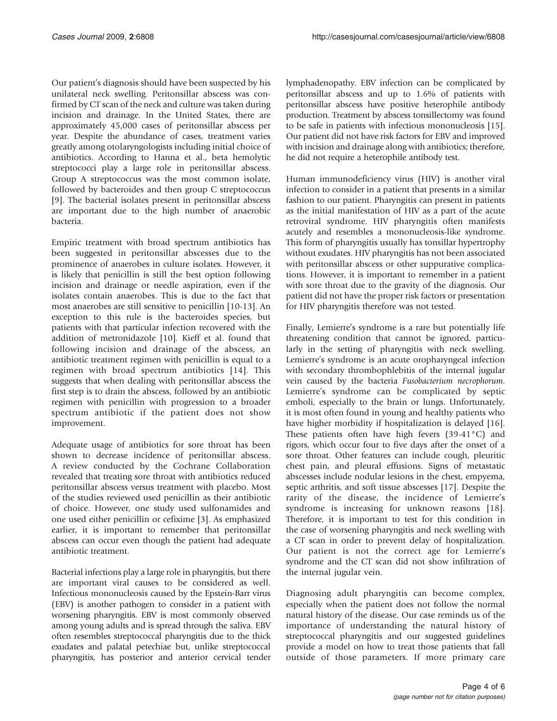Our patient's diagnosis should have been suspected by his unilateral neck swelling. Peritonsillar abscess was confirmed by CT scan of the neck and culture was taken during incision and drainage. In the United States, there are approximately 45,000 cases of peritonsillar abscess per year. Despite the abundance of cases, treatment varies greatly among otolaryngologists including initial choice of antibiotics. According to Hanna et al., beta hemolytic streptococci play a large role in peritonsillar abscess. Group A streptococcus was the most common isolate, followed by bacteroides and then group C streptococcus [\[9](#page-5-0)]. The bacterial isolates present in peritonsillar abscess are important due to the high number of anaerobic bacteria.

Empiric treatment with broad spectrum antibiotics has been suggested in peritonsillar abscesses due to the prominence of anaerobes in culture isolates. However, it is likely that penicillin is still the best option following incision and drainage or needle aspiration, even if the isolates contain anaerobes. This is due to the fact that most anaerobes are still sensitive to penicillin [\[10-13](#page-5-0)]. An exception to this rule is the bacteroides species, but patients with that particular infection recovered with the addition of metronidazole [\[10\]](#page-5-0). Kieff et al. found that following incision and drainage of the abscess, an antibiotic treatment regimen with penicillin is equal to a regimen with broad spectrum antibiotics [\[14](#page-5-0)]. This suggests that when dealing with peritonsillar abscess the first step is to drain the abscess, followed by an antibiotic regimen with penicillin with progression to a broader spectrum antibiotic if the patient does not show improvement.

Adequate usage of antibiotics for sore throat has been shown to decrease incidence of peritonsillar abscess. A review conducted by the Cochrane Collaboration revealed that treating sore throat with antibiotics reduced peritonsillar abscess versus treatment with placebo. Most of the studies reviewed used penicillin as their antibiotic of choice. However, one study used sulfonamides and one used either penicillin or cefixime [[3\]](#page-5-0). As emphasized earlier, it is important to remember that peritonsillar abscess can occur even though the patient had adequate antibiotic treatment.

Bacterial infections play a large role in pharyngitis, but there are important viral causes to be considered as well. Infectious mononucleosis caused by the Epstein-Barr virus (EBV) is another pathogen to consider in a patient with worsening pharyngitis. EBV is most commonly observed among young adults and is spread through the saliva. EBV often resembles streptococcal pharyngitis due to the thick exudates and palatal petechiae but, unlike streptococcal pharyngitis, has posterior and anterior cervical tender lymphadenopathy. EBV infection can be complicated by peritonsillar abscess and up to 1.6% of patients with peritonsillar abscess have positive heterophile antibody production. Treatment by abscess tonsillectomy was found to be safe in patients with infectious mononucleosis [\[15\]](#page-5-0). Our patient did not have risk factors for EBV and improved with incision and drainage along with antibiotics; therefore, he did not require a heterophile antibody test.

Human immunodeficiency virus (HIV) is another viral infection to consider in a patient that presents in a similar fashion to our patient. Pharyngitis can present in patients as the initial manifestation of HIV as a part of the acute retroviral syndrome. HIV pharyngitis often manifests acutely and resembles a mononucleosis-like syndrome. This form of pharyngitis usually has tonsillar hypertrophy without exudates. HIV pharyngitis has not been associated with peritonsillar abscess or other suppurative complications. However, it is important to remember in a patient with sore throat due to the gravity of the diagnosis. Our patient did not have the proper risk factors or presentation for HIV pharyngitis therefore was not tested.

Finally, Lemierre's syndrome is a rare but potentially life threatening condition that cannot be ignored, particularly in the setting of pharyngitis with neck swelling. Lemierre's syndrome is an acute oropharyngeal infection with secondary thrombophlebitis of the internal jugular vein caused by the bacteria Fusobacterium necrophorum. Lemierre's syndrome can be complicated by septic emboli, especially to the brain or lungs. Unfortunately, it is most often found in young and healthy patients who have higher morbidity if hospitalization is delayed [\[16\]](#page-5-0). These patients often have high fevers (39-41°C) and rigors, which occur four to five days after the onset of a sore throat. Other features can include cough, pleuritic chest pain, and pleural effusions. Signs of metastatic abscesses include nodular lesions in the chest, empyema, septic arthritis, and soft tissue abscesses [\[17\]](#page-5-0). Despite the rarity of the disease, the incidence of Lemierre's syndrome is increasing for unknown reasons [[18\]](#page-5-0). Therefore, it is important to test for this condition in the case of worsening pharyngitis and neck swelling with a CT scan in order to prevent delay of hospitalization. Our patient is not the correct age for Lemierre's syndrome and the CT scan did not show infiltration of the internal jugular vein.

Diagnosing adult pharyngitis can become complex, especially when the patient does not follow the normal natural history of the disease. Our case reminds us of the importance of understanding the natural history of streptococcal pharyngitis and our suggested guidelines provide a model on how to treat those patients that fall outside of those parameters. If more primary care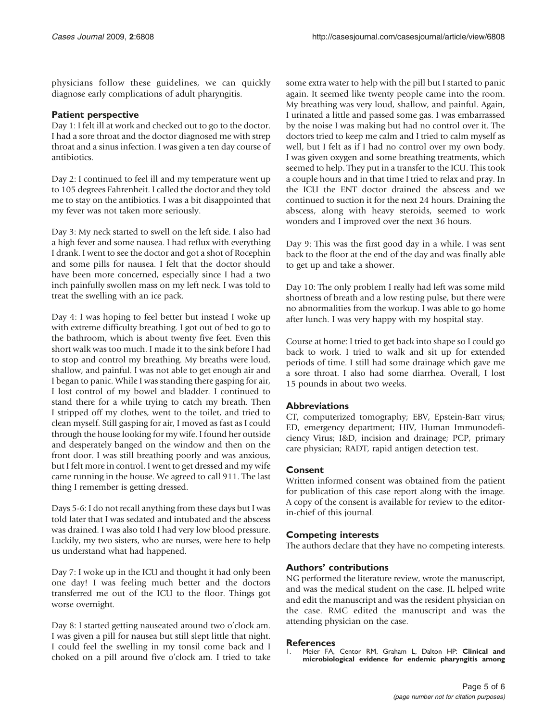<span id="page-4-0"></span>physicians follow these guidelines, we can quickly diagnose early complications of adult pharyngitis.

### Patient perspective

Day 1: I felt ill at work and checked out to go to the doctor. I had a sore throat and the doctor diagnosed me with strep throat and a sinus infection. I was given a ten day course of antibiotics.

Day 2: I continued to feel ill and my temperature went up to 105 degrees Fahrenheit. I called the doctor and they told me to stay on the antibiotics. I was a bit disappointed that my fever was not taken more seriously.

Day 3: My neck started to swell on the left side. I also had a high fever and some nausea. I had reflux with everything I drank. I went to see the doctor and got a shot of Rocephin and some pills for nausea. I felt that the doctor should have been more concerned, especially since I had a two inch painfully swollen mass on my left neck. I was told to treat the swelling with an ice pack.

Day 4: I was hoping to feel better but instead I woke up with extreme difficulty breathing. I got out of bed to go to the bathroom, which is about twenty five feet. Even this short walk was too much. I made it to the sink before I had to stop and control my breathing. My breaths were loud, shallow, and painful. I was not able to get enough air and I began to panic. While I was standing there gasping for air, I lost control of my bowel and bladder. I continued to stand there for a while trying to catch my breath. Then I stripped off my clothes, went to the toilet, and tried to clean myself. Still gasping for air, I moved as fast as I could through the house looking for my wife. I found her outside and desperately banged on the window and then on the front door. I was still breathing poorly and was anxious, but I felt more in control. I went to get dressed and my wife came running in the house. We agreed to call 911. The last thing I remember is getting dressed.

Days 5-6: I do not recall anything from these days but I was told later that I was sedated and intubated and the abscess was drained. I was also told I had very low blood pressure. Luckily, my two sisters, who are nurses, were here to help us understand what had happened.

Day 7: I woke up in the ICU and thought it had only been one day! I was feeling much better and the doctors transferred me out of the ICU to the floor. Things got worse overnight.

Day 8: I started getting nauseated around two o'clock am. I was given a pill for nausea but still slept little that night. I could feel the swelling in my tonsil come back and I choked on a pill around five o'clock am. I tried to take some extra water to help with the pill but I started to panic again. It seemed like twenty people came into the room. My breathing was very loud, shallow, and painful. Again, I urinated a little and passed some gas. I was embarrassed by the noise I was making but had no control over it. The doctors tried to keep me calm and I tried to calm myself as well, but I felt as if I had no control over my own body. I was given oxygen and some breathing treatments, which seemed to help. They put in a transfer to the ICU. This took a couple hours and in that time I tried to relax and pray. In the ICU the ENT doctor drained the abscess and we continued to suction it for the next 24 hours. Draining the abscess, along with heavy steroids, seemed to work wonders and I improved over the next 36 hours.

Day 9: This was the first good day in a while. I was sent back to the floor at the end of the day and was finally able to get up and take a shower.

Day 10: The only problem I really had left was some mild shortness of breath and a low resting pulse, but there were no abnormalities from the workup. I was able to go home after lunch. I was very happy with my hospital stay.

Course at home: I tried to get back into shape so I could go back to work. I tried to walk and sit up for extended periods of time. I still had some drainage which gave me a sore throat. I also had some diarrhea. Overall, I lost 15 pounds in about two weeks.

## **Abbreviations**

CT, computerized tomography; EBV, Epstein-Barr virus; ED, emergency department; HIV, Human Immunodeficiency Virus; I&D, incision and drainage; PCP, primary care physician; RADT, rapid antigen detection test.

#### Consent

Written informed consent was obtained from the patient for publication of this case report along with the image. A copy of the consent is available for review to the editorin-chief of this journal.

## Competing interests

The authors declare that they have no competing interests.

#### Authors' contributions

NG performed the literature review, wrote the manuscript, and was the medical student on the case. JL helped write and edit the manuscript and was the resident physician on the case. RMC edited the manuscript and was the attending physician on the case.

#### **References**

Meier FA, Centor RM, Graham L, Dalton HP: Clinical and microbiological evidence for endemic pharyngitis among